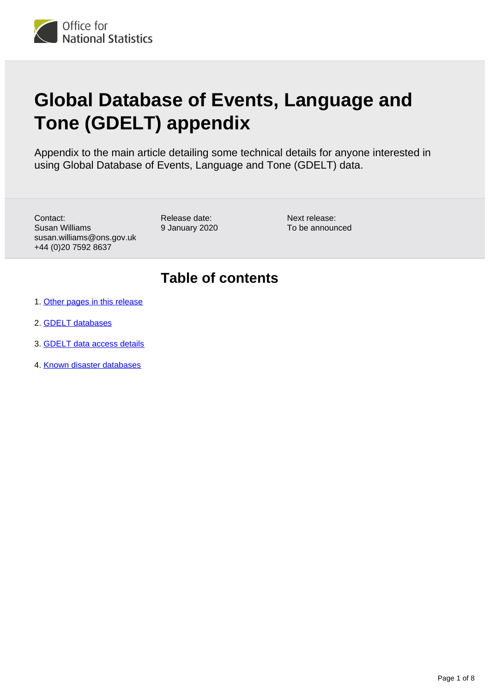

# **Global Database of Events, Language and Tone (GDELT) appendix**

Appendix to the main article detailing some technical details for anyone interested in using Global Database of Events, Language and Tone (GDELT) data.

Contact: Susan Williams susan.williams@ons.gov.uk +44 (0)20 7592 8637

Release date: 9 January 2020

Next release: To be announced

# **Table of contents**

- 1. [Other pages in this release](#page-1-0)
- 2. [GDELT databases](#page-1-1)
- 3. [GDELT data access details](#page-5-0)
- 4. [Known disaster databases](#page-6-0)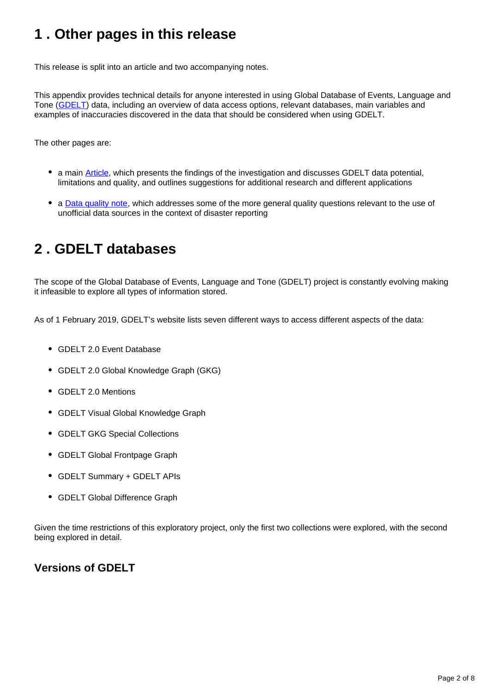# <span id="page-1-0"></span>**1 . Other pages in this release**

This release is split into an article and two accompanying notes.

This appendix provides technical details for anyone interested in using Global Database of Events, Language and Tone ([GDELT\)](https://www.gdeltproject.org/) data, including an overview of data access options, relevant databases, main variables and examples of inaccuracies discovered in the data that should be considered when using GDELT.

The other pages are:

- a main [Article](https://www.ons.gov.uk/peoplepopulationandcommunity/birthsdeathsandmarriages/deaths/methodologies/explorationoftheglobaldatabaseofeventslanguageandtonegdeltwithspecificapplicationtodisasterreporting), which presents the findings of the investigation and discusses GDELT data potential, limitations and quality, and outlines suggestions for additional research and different applications
- a **[Data quality note](https://www.ons.gov.uk/peoplepopulationandcommunity/birthsdeathsandmarriages/deaths/methodologies/globaldatabaseofeventslanguageandtonegdeltdataqualitynote)**, which addresses some of the more general quality questions relevant to the use of unofficial data sources in the context of disaster reporting

# <span id="page-1-1"></span>**2 . GDELT databases**

The scope of the Global Database of Events, Language and Tone (GDELT) project is constantly evolving making it infeasible to explore all types of information stored.

As of 1 February 2019, GDELT's website lists seven different ways to access different aspects of the data:

- GDELT 2.0 Event Database
- GDELT 2.0 Global Knowledge Graph (GKG)
- GDELT 2.0 Mentions
- GDELT Visual Global Knowledge Graph
- GDELT GKG Special Collections
- GDELT Global Frontpage Graph
- GDELT Summary + GDELT APIs
- GDELT Global Difference Graph

Given the time restrictions of this exploratory project, only the first two collections were explored, with the second being explored in detail.

# **Versions of GDELT**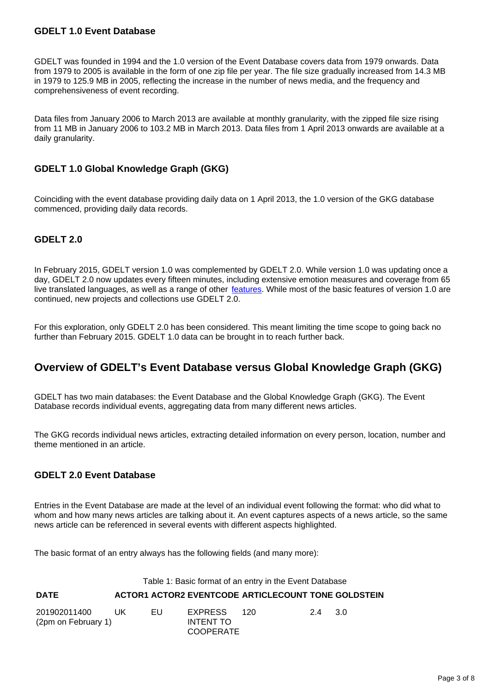#### **GDELT 1.0 Event Database**

GDELT was founded in 1994 and the 1.0 version of the Event Database covers data from 1979 onwards. Data from 1979 to 2005 is available in the form of one zip file per year. The file size gradually increased from 14.3 MB in 1979 to 125.9 MB in 2005, reflecting the increase in the number of news media, and the frequency and comprehensiveness of event recording.

Data files from January 2006 to March 2013 are available at monthly granularity, with the zipped file size rising from 11 MB in January 2006 to 103.2 MB in March 2013. Data files from 1 April 2013 onwards are available at a daily granularity.

# **GDELT 1.0 Global Knowledge Graph (GKG)**

Coinciding with the event database providing daily data on 1 April 2013, the 1.0 version of the GKG database commenced, providing daily data records.

# **GDELT 2.0**

In February 2015, GDELT version 1.0 was complemented by GDELT 2.0. While version 1.0 was updating once a day, GDELT 2.0 now updates every fifteen minutes, including extensive emotion measures and coverage from 65 live translated languages, as well as a range of other [features](http://%20https://blog.gdeltproject.org/gdelt-2-0-our-global-world-in-realtime/). While most of the basic features of version 1.0 are continued, new projects and collections use GDELT 2.0.

For this exploration, only GDELT 2.0 has been considered. This meant limiting the time scope to going back no further than February 2015. GDELT 1.0 data can be brought in to reach further back.

# **Overview of GDELT's Event Database versus Global Knowledge Graph (GKG)**

GDELT has two main databases: the Event Database and the Global Knowledge Graph (GKG). The Event Database records individual events, aggregating data from many different news articles.

The GKG records individual news articles, extracting detailed information on every person, location, number and theme mentioned in an article.

# **GDELT 2.0 Event Database**

Entries in the Event Database are made at the level of an individual event following the format: who did what to whom and how many news articles are talking about it. An event captures aspects of a news article, so the same news article can be referenced in several events with different aspects highlighted.

The basic format of an entry always has the following fields (and many more):

#### Table 1: Basic format of an entry in the Event Database

#### **DATE ACTOR1 ACTOR2 EVENTCODE ARTICLECOUNT TONE GOLDSTEIN**

| 201902011400        | - I IK | EU. | EXPRESS          | 120. | 2.4 | - 3.0 |  |
|---------------------|--------|-----|------------------|------|-----|-------|--|
| (2pm on February 1) |        |     | INTENT TO        |      |     |       |  |
|                     |        |     | <b>COOPERATE</b> |      |     |       |  |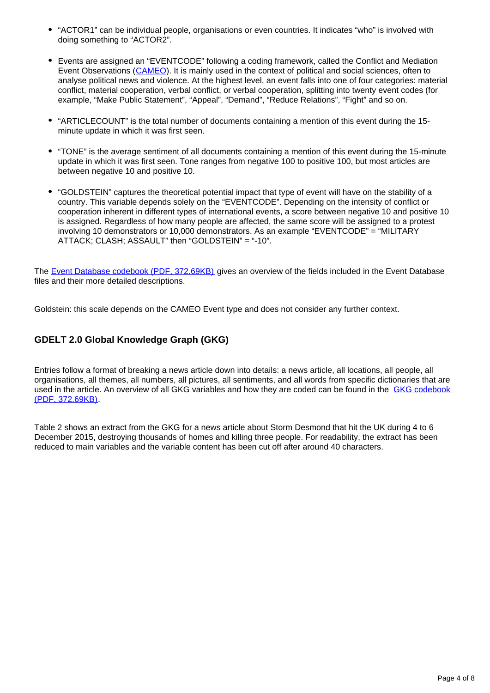- "ACTOR1" can be individual people, organisations or even countries. It indicates "who" is involved with doing something to "ACTOR2".
- Events are assigned an "EVENTCODE" following a coding framework, called the Conflict and Mediation Event Observations ([CAMEO](http://eventdata.parusanalytics.com/data.dir/cameo.html)). It is mainly used in the context of political and social sciences, often to analyse political news and violence. At the highest level, an event falls into one of four categories: material conflict, material cooperation, verbal conflict, or verbal cooperation, splitting into twenty event codes (for example, "Make Public Statement", "Appeal", "Demand", "Reduce Relations", "Fight" and so on.
- "ARTICLECOUNT" is the total number of documents containing a mention of this event during the 15 minute update in which it was first seen.
- "TONE" is the average sentiment of all documents containing a mention of this event during the 15-minute update in which it was first seen. Tone ranges from negative 100 to positive 100, but most articles are between negative 10 and positive 10.
- "GOLDSTEIN" captures the theoretical potential impact that type of event will have on the stability of a country. This variable depends solely on the "EVENTCODE". Depending on the intensity of conflict or cooperation inherent in different types of international events, a score between negative 10 and positive 10 is assigned. Regardless of how many people are affected, the same score will be assigned to a protest involving 10 demonstrators or 10,000 demonstrators. As an example "EVENTCODE" = "MILITARY ATTACK; CLASH; ASSAULT" then "GOLDSTEIN" = "-10".

The [Event Database codebook \(PDF, 372.69KB\)](http://data.gdeltproject.org/documentation/GDELT-Event_Codebook-V2.0.pdf) gives an overview of the fields included in the Event Database files and their more detailed descriptions.

Goldstein: this scale depends on the CAMEO Event type and does not consider any further context.

# **GDELT 2.0 Global Knowledge Graph (GKG)**

Entries follow a format of breaking a news article down into details: a news article, all locations, all people, all organisations, all themes, all numbers, all pictures, all sentiments, and all words from specific dictionaries that are used in the article. An overview of all GKG variables and how they are coded can be found in the GKG codebook [\(PDF, 372.69KB\)](http://data.gdeltproject.org/documentation/GDELT-Event_Codebook-V2.0.pdf).

Table 2 shows an extract from the GKG for a news article about Storm Desmond that hit the UK during 4 to 6 December 2015, destroying thousands of homes and killing three people. For readability, the extract has been reduced to main variables and the variable content has been cut off after around 40 characters.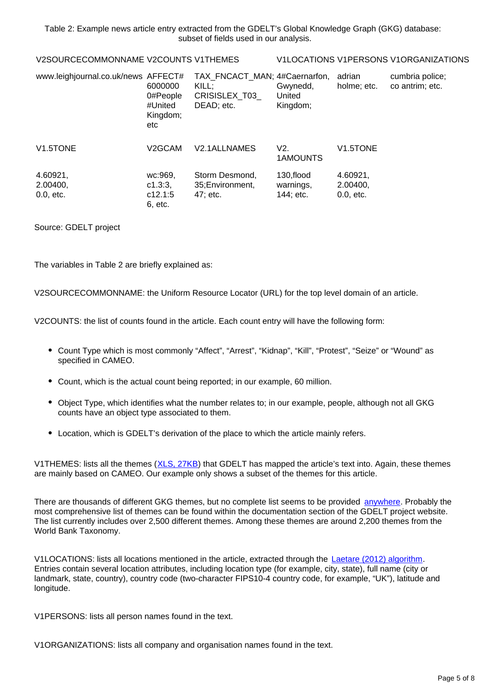Table 2: Example news article entry extracted from the GDELT's Global Knowledge Graph (GKG) database: subset of fields used in our analysis.

|--|--|

V1LOCATIONS V1PERSONS V1ORGANIZATIONS

| www.leighjournal.co.uk/news AFFECT# | 6000000<br>0#People<br>#United<br>Kingdom;<br>etc | TAX_FNCACT_MAN; 4#Caernarfon,<br>KILL:<br>CRISISLEX T03<br>DEAD; etc. | Gwynedd,<br>United<br>Kingdom;       | adrian<br>holme; etc.               | cumbria police;<br>co antrim; etc. |
|-------------------------------------|---------------------------------------------------|-----------------------------------------------------------------------|--------------------------------------|-------------------------------------|------------------------------------|
| V1.5TONE                            | V2GCAM                                            | V2.1ALLNAMES                                                          | V2.<br>1AMOUNTS                      | V <sub>1.5</sub> TONE               |                                    |
| 4.60921,<br>2.00400,<br>0.0, etc.   | wc:969,<br>c1.3:3,<br>c12.1:5<br>6, etc.          | Storm Desmond,<br>35; Environment,<br>47; etc.                        | 130, flood<br>warnings,<br>144; etc. | 4.60921,<br>2.00400,<br>$0.0,$ etc. |                                    |

Source: GDELT project

The variables in Table 2 are briefly explained as:

V2SOURCECOMMONNAME: the Uniform Resource Locator (URL) for the top level domain of an article.

V2COUNTS: the list of counts found in the article. Each count entry will have the following form:

- Count Type which is most commonly "Affect", "Arrest", "Kidnap", "Kill", "Protest", "Seize" or "Wound" as specified in CAMEO.
- Count, which is the actual count being reported; in our example, 60 million.
- Object Type, which identifies what the number relates to; in our example, people, although not all GKG counts have an object type associated to them.
- Location, which is GDELT's derivation of the place to which the article mainly refers.

V1THEMES: lists all the themes ([XLS, 27KB\)](http://data.gdeltproject.org/documentation/GDELT-Global_Knowledge_Graph_CategoryList.xlsx) that GDELT has mapped the article's text into. Again, these themes are mainly based on CAMEO. Our example only shows a subset of the themes for this article.

There are thousands of different GKG themes, but no complete list seems to be provided [anywhere.](https://stackoverflow.com/questions/51967429/understanding-themes-in-google-bigquery-gdelt-gkg-2-0) Probably the most comprehensive list of themes can be found within the documentation section of the GDELT project website. The list currently includes over 2,500 different themes. Among these themes are around 2,200 themes from the World Bank Taxonomy.

V1LOCATIONS: lists all locations mentioned in the article, extracted through the [Laetare \(2012\) algorithm.](https://doi.org/10.1045/september2012-leetaru) Entries contain several location attributes, including location type (for example, city, state), full name (city or landmark, state, country), country code (two-character FIPS10-4 country code, for example, "UK"), latitude and longitude.

V1PERSONS: lists all person names found in the text.

V1ORGANIZATIONS: lists all company and organisation names found in the text.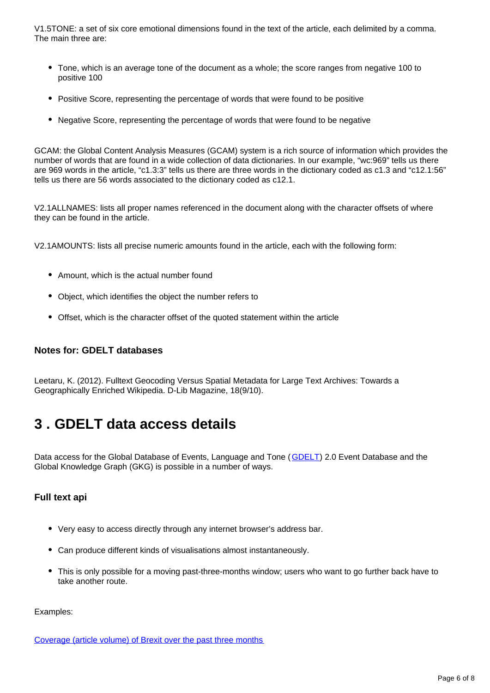V1.5TONE: a set of six core emotional dimensions found in the text of the article, each delimited by a comma. The main three are:

- Tone, which is an average tone of the document as a whole; the score ranges from negative 100 to positive 100
- Positive Score, representing the percentage of words that were found to be positive
- Negative Score, representing the percentage of words that were found to be negative

GCAM: the Global Content Analysis Measures (GCAM) system is a rich source of information which provides the number of words that are found in a wide collection of data dictionaries. In our example, "wc:969" tells us there are 969 words in the article, "c1.3:3" tells us there are three words in the dictionary coded as c1.3 and "c12.1:56" tells us there are 56 words associated to the dictionary coded as c12.1.

V2.1ALLNAMES: lists all proper names referenced in the document along with the character offsets of where they can be found in the article.

V2.1AMOUNTS: lists all precise numeric amounts found in the article, each with the following form:

- Amount, which is the actual number found
- Object, which identifies the object the number refers to
- Offset, which is the character offset of the quoted statement within the article

# **Notes for: GDELT databases**

Leetaru, K. (2012). Fulltext Geocoding Versus Spatial Metadata for Large Text Archives: Towards a Geographically Enriched Wikipedia. D-Lib Magazine, 18(9/10).

# <span id="page-5-0"></span>**3 . GDELT data access details**

Data access for the Global Database of Events, Language and Tone ([GDELT\)](https://www.gdeltproject.org/) 2.0 Event Database and the Global Knowledge Graph (GKG) is possible in a number of ways.

# **Full text api**

- Very easy to access directly through any internet browser's address bar.
- Can produce different kinds of visualisations almost instantaneously.
- This is only possible for a moving past-three-months window; users who want to go further back have to take another route.

Examples:

[Coverage \(article volume\) of Brexit over the past three months](https://api.gdeltproject.org/api/v2/doc/doc?query=%22brexit%22&mode=timelinevolinfo&TIMELINESMOOTH=5)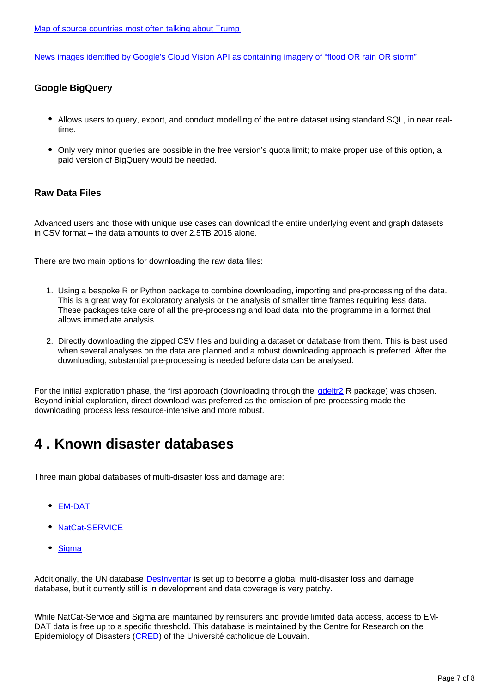[Map of source countries most often talking about Trump](https://api.gdeltproject.org/api/v2/geo/geo?query=trump&mode=sourcecountry)

[News images identified by Google's Cloud Vision API as containing imagery of "flood OR rain OR storm"](https://api.gdeltproject.org/api/v2/doc/doc?query=(imagetag:%22rain%22%20OR%20imagetag:%22flooding%22%20OR%20imagetag:%22storm%22)&mode=imagegallery)

# **Google BigQuery**

- Allows users to query, export, and conduct modelling of the entire dataset using standard SQL, in near realtime.
- Only very minor queries are possible in the free version's quota limit; to make proper use of this option, a paid version of BigQuery would be needed.

# **Raw Data Files**

Advanced users and those with unique use cases can download the entire underlying event and graph datasets in CSV format – the data amounts to over 2.5TB 2015 alone.

There are two main options for downloading the raw data files:

- 1. Using a bespoke R or Python package to combine downloading, importing and pre-processing of the data. This is a great way for exploratory analysis or the analysis of smaller time frames requiring less data. These packages take care of all the pre-processing and load data into the programme in a format that allows immediate analysis.
- 2. Directly downloading the zipped CSV files and building a dataset or database from them. This is best used when several analyses on the data are planned and a robust downloading approach is preferred. After the downloading, substantial pre-processing is needed before data can be analysed.

For the initial exploration phase, the first approach (downloading through the gdeltr<sub>2</sub> R package) was chosen. Beyond initial exploration, direct download was preferred as the omission of pre-processing made the downloading process less resource-intensive and more robust.

# <span id="page-6-0"></span>**4 . Known disaster databases**

Three main global databases of multi-disaster loss and damage are:

- [EM-DAT](https://www.emdat.be/index.php)
- · [NatCat-SERVICE](https://www.munichre.com/en/solutions/for-industry-clients/natcatservice.html)
- [Sigma](https://www.sigma-explorer.com/)

Additionally, the UN database **DesInventar** is set up to become a global multi-disaster loss and damage database, but it currently still is in development and data coverage is very patchy.

While NatCat-Service and Sigma are maintained by reinsurers and provide limited data access, access to EM-DAT data is free up to a specific threshold. This database is maintained by the Centre for Research on the Epidemiology of Disasters ([CRED](https://www.cred.be/)) of the Université catholique de Louvain.